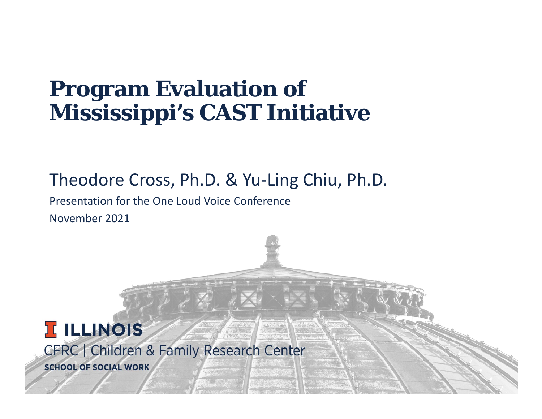### **Program Evaluation of Mississippi's CAST Initiative**

#### Theodore Cross, Ph.D. & Yu‐Ling Chiu, Ph.D.

Presentation for the One Loud Voice ConferenceNovember 2021

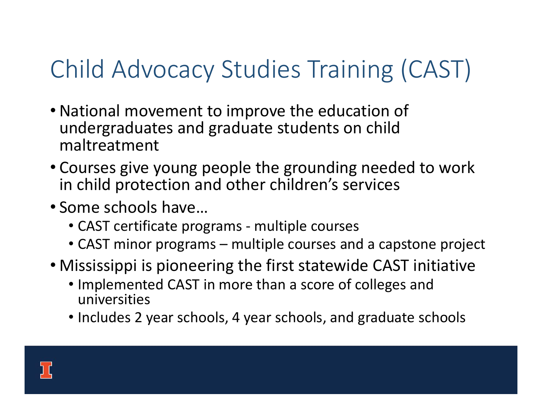# Child Advocacy Studies Training (CAST)

- National movement to improve the education of undergraduates and graduate students on child maltreatment
- Courses give young people the grounding needed to work in child protection and other children's services
- Some schools have…
	- CAST certificate programs ‐ multiple courses
	- CAST minor programs multiple courses and a capstone project
- Mississippi is pioneering the first statewide CAST initiative
	- Implemented CAST in more than a score of colleges and universities
	- Includes 2 year schools, 4 year schools, and graduate schools

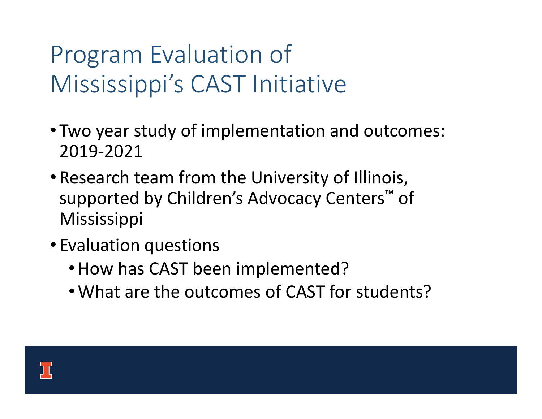# Program Evaluation of Mississippi's CAST Initiative

- Two year study of implementation and outcomes: 2019‐2021
- •Research team from the University of Illinois, supported by Children's Advocacy Centers ™ of **Mississippi**
- Evaluation questions
	- •How has CAST been implemented?
	- •What are the outcomes of CAST for students?

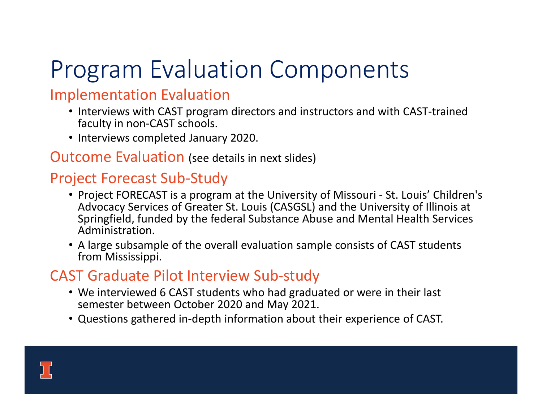# Program Evaluation Components

#### Implementation Evaluation

- Interviews with CAST program directors and instructors and with CAST-trained faculty in non‐CAST schools.
- Interviews completed January 2020.

#### Outcome Evaluation (see details in next slides)

#### Project Forecast Sub‐Study

- Project FORECAST is a program at the University of Missouri ‐ St. Louis' Children's Advocacy Services of Greater St. Louis (CASGSL) and the University of Illinois at Springfield, funded by the federal Substance Abuse and Mental Health Services Administration.
- A large subsample of the overall evaluation sample consists of CAST students from Mississippi.

#### CAST Graduate Pilot Interview Sub‐study

- We interviewed 6 CAST students who had graduated or were in their last semester between October 2020 and May 2021.
- Questions gathered in‐depth information about their experience of CAST.

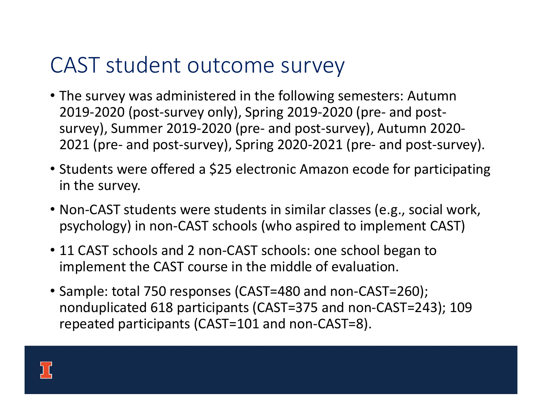### CAST student outcome survey

- The survey was administered in the following semesters: Autumn 2019‐2020 (post‐survey only), Spring 2019‐2020 (pre‐ and post‐ survey), Summer 2019‐2020 (pre‐ and post‐survey), Autumn 2020‐ 2021 (pre‐ and post‐survey), Spring 2020‐2021 (pre‐ and post‐survey).
- Students were offered a \$25 electronic Amazon ecode for participating in the survey.
- Non-CAST students were students in similar classes (e.g., social work, psychology) in non‐CAST schools (who aspired to implement CAST)
- 11 CAST schools and 2 non-CAST schools: one school began to implement the CAST course in the middle of evaluation.
- Sample: total 750 responses (CAST=480 and non‐CAST=260); nonduplicated 618 participants (CAST=375 and non‐CAST=243); 109 repeated participants (CAST=101 and non‐CAST=8).

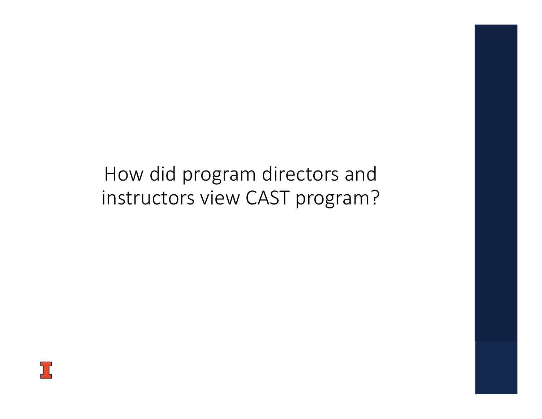### How did program directors and instructors view CAST program?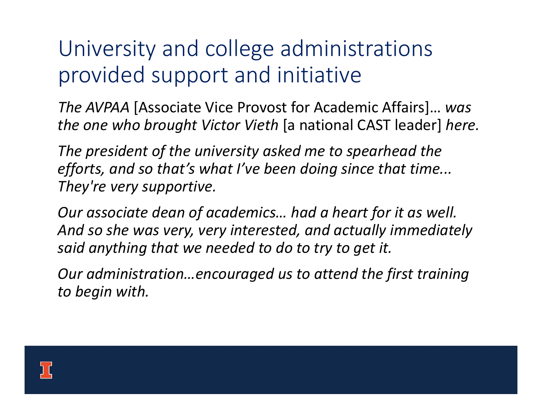## University and college administrations provided support and initiative

*The AVPAA* [Associate Vice Provost for Academic Affairs]… *was the one who brought Victor Vieth* [a national CAST leader] *here.*

*The president of the university asked me to spearhead the efforts, and so that's what I've been doing since that time... They're very supportive.*

*Our associate dean of academics… had a heart for it as well. And so she was very, very interested, and actually immediately said anything that we needed to do to try to get it.*

*Our administration…encouraged us to attend the first training to begin with.*

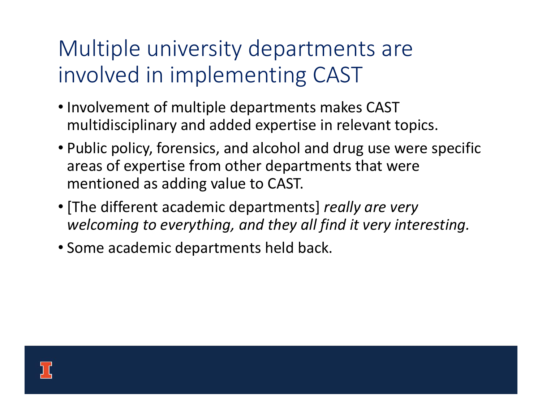## Multiple university departments are involved in implementing CAST

- Involvement of multiple departments makes CAST multidisciplinary and added expertise in relevant topics.
- Public policy, forensics, and alcohol and drug use were specific areas of expertise from other departments that were mentioned as adding value to CAST.
- [The different academic departments] *really are very welcoming to everything, and they all find it very interesting.*
- Some academic departments held back.

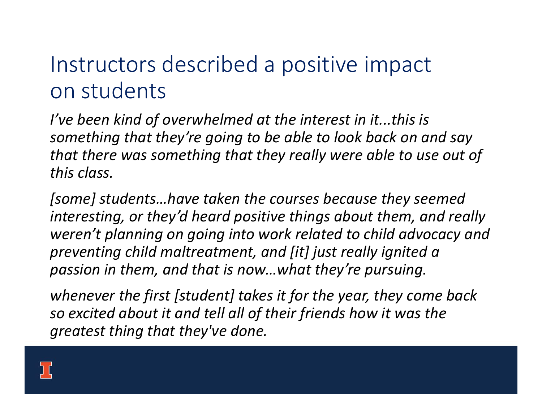## Instructors described a positive impact on students

*I've been kind of overwhelmed at the interest in it...this is something that they're going to be able to look back on and say that there was something that they really were able to use out of this class.* 

*[some] students…have taken the courses because they seemed interesting, or they'd heard positive things about them, and really weren't planning on going into work related to child advocacy and preventing child maltreatment, and [it] just really ignited a passion in them, and that is now…what they're pursuing.*

*whenever the first [student] takes it for the year, they come back so excited about it and tell all of their friends how it was the greatest thing that they've done.*

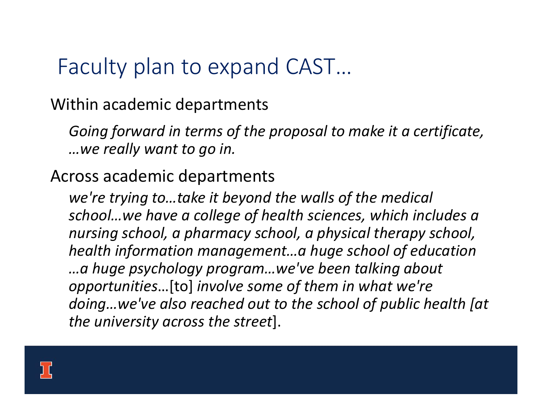### Faculty plan to expand CAST…

Within academic departments

*Going forward in terms of the proposal to make it a certificate, …we really want to go in.*

Across academic departments

*we're trying to…take it beyond the walls of the medical school…we have a college of health sciences, which includes a nursing school, a pharmacy school, a physical therapy school, health information management…a huge school of education …a huge psychology program…we've been talking about opportunities*…[to] *involve some of them in what we're doing…we've also reached out to the school of public health [at the university across the street*].

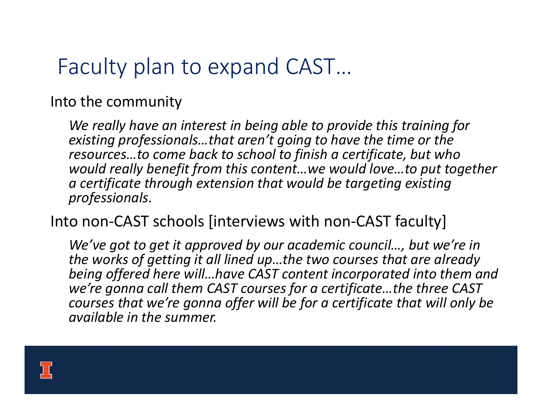## Faculty plan to expand CAST…

Into the community

*We really have an interest in being able to provide this training for existing professionals…that aren't going to have the time or the resources…to come back to school to finish a certificate, but who would really benefit from this content…we would love…to put together a certificate through extension that would be targeting existing professionals*.

#### Into non-CAST schools [interviews with non-CAST faculty]

*We've got to get it approved by our academic council…, but we're in the works of getting it all lined up…the two courses that are already being offered here will…have CAST content incorporated into them and we're gonna call them CAST courses for a certificate…the three CAST courses that we're gonna offer will be for a certificate that will only be available in the summer.*

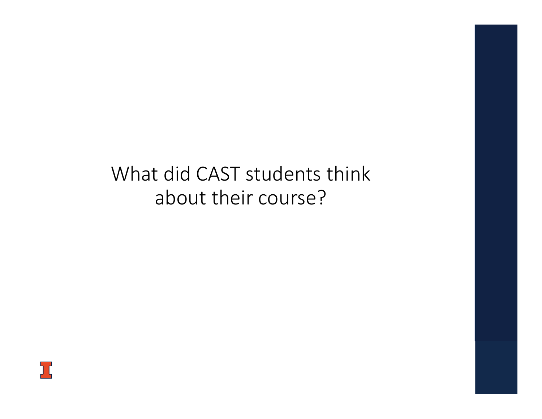### What did CAST students think about their course?

Jζ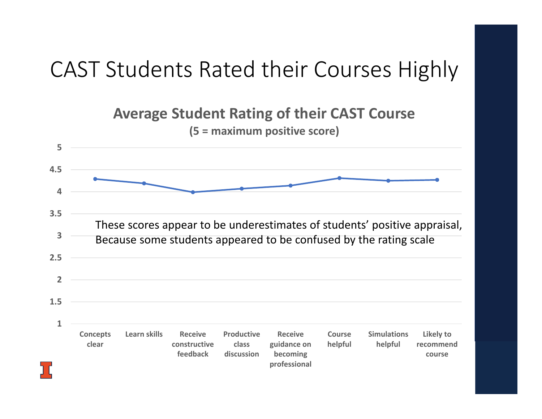## CAST Students Rated their Courses Highly

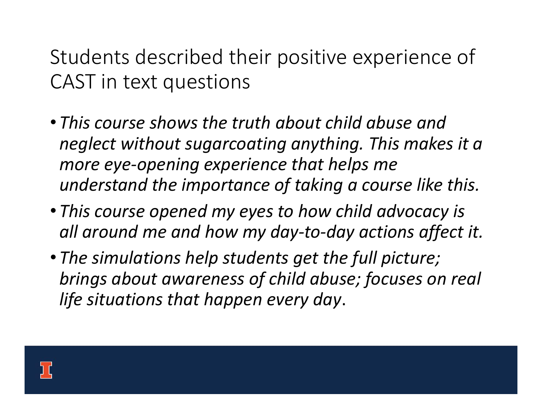Students described their positive experience of CAST in text questions

- *This course shows the truth about child abuse and neglect without sugarcoating anything. This makes it a more eye‐opening experience that helps me understand the importance of taking a course like this.*
- *This course opened my eyes to how child advocacy is all around me and how my day‐to‐day actions affect it.*
- *The simulations help students get the full picture; brings about awareness of child abuse; focuses on real life situations that happen every day*.

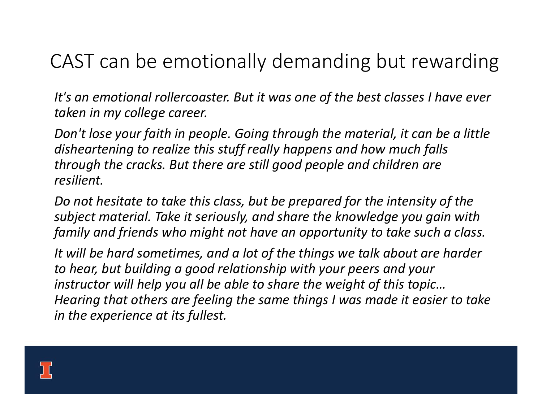### CAST can be emotionally demanding but rewarding

*It's an emotional rollercoaster. But it was one of the best classes I have ever taken in my college career.*

*Don't lose your faith in people. Going through the material, it can be a little disheartening to realize this stuff really happens and how much falls through the cracks. But there are still good people and children are resilient.*

*Do not hesitate to take this class, but be prepared for the intensity of the subject material. Take it seriously, and share the knowledge you gain with family and friends who might not have an opportunity to take such a class.*

*It will be hard sometimes, and a lot of the things we talk about are harder to hear, but building a good relationship with your peers and your instructor will help you all be able to share the weight of this topic… Hearing that others are feeling the same things I was made it easier to take in the experience at its fullest.*

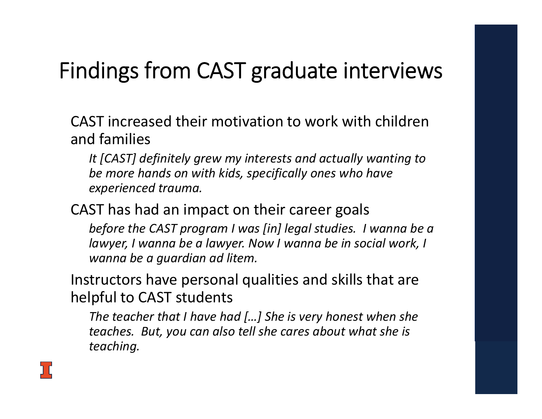## Findings from CAST graduate interviews

CAST increased their motivation to work with children and families

*It [CAST] definitely grew my interests and actually wanting to be more hands on with kids, specifically ones who have experienced trauma.*

CAST has had an impact on their career goals

*before the CAST program I was [in] legal studies. I wanna be a lawyer, I wanna be a lawyer. Now I wanna be in social work, I wanna be a guardian ad litem.*

Instructors have personal qualities and skills that are helpful to CAST students

*The teacher that I have had […] She is very honest when she teaches. But, you can also tell she cares about what she is teaching.*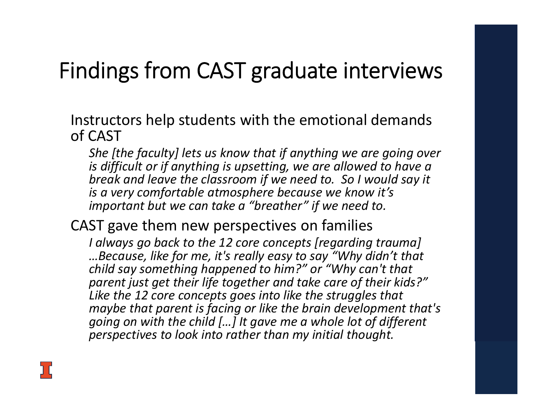## Findings from CAST graduate interviews

Instructors help students with the emotional demands of CAST

*She [the faculty] lets us know that if anything we are going over is difficult or if anything is upsetting, we are allowed to have a break and leave the classroom if we need to. So I would say it is a very comfortable atmosphere because we know it's important but we can take a "breather" if we need to.* 

CAST gave them new perspectives on families

*I always go back to the 12 core concepts [regarding trauma] …Because, like for me, it's really easy to say "Why didn't that child say something happened to him?" or "Why can't that parent just get their life together and take care of their kids?" Like the 12 core concepts goes into like the struggles that maybe that parent is facing or like the brain development that's going on with the child […] It gave me a whole lot of different perspectives to look into rather than my initial thought.*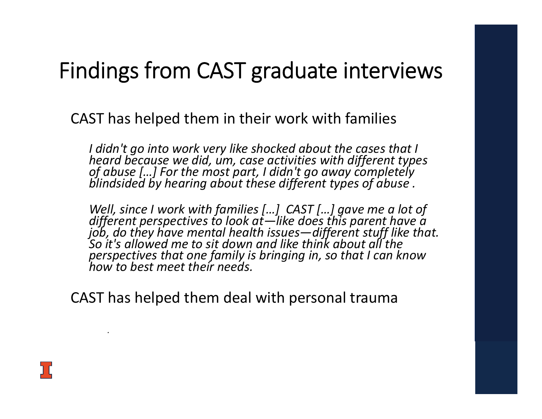### Findings from CAST graduate interviews

CAST has helped them in their work with families

I didn't go into work very like shocked about the cases that I<br>heard because we did, um, case activities with different types<br>of abuse [...] For the most part, I didn't go away completely<br>blindsided by hearing about these

Well, since I work with families [...] CAST [...] gave me a lot of<br>different perspectives to look at—like does this parent have a<br>job, do they have mental health issues—different stuff like that. So it's allowed me to sit down and like think about all the *perspectives that one family is bringing in, so that I can know how to best meet their needs.*

CAST has helped them deal with personal trauma



*.*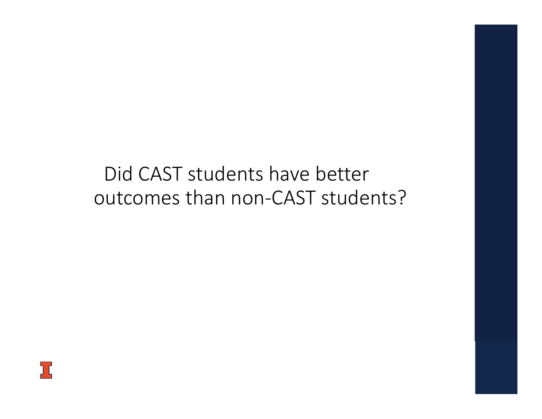### Did CAST students have better outcomes than non-CAST students?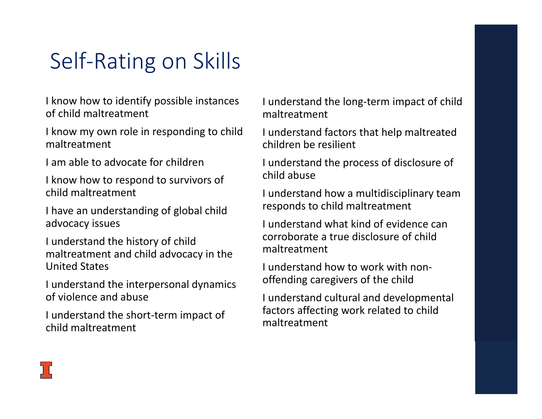## Self‐Rating on Skills

I know how to identify possible instances of child maltreatment

I know my own role in responding to child maltreatment

I am able to advocate for children

I know how to respond to survivors of child maltreatment

I have an understanding of global child advocacy issues

I understand the history of child maltreatment and child advocacy in the United States

I understand the interpersonal dynamics of violence and abuse

I understand the short‐term impact of child maltreatment

I understand the long‐term impact of child maltreatment

I understand factors that help maltreated children be resilient

I understand the process of disclosure of child abuse

I understand how a multidisciplinary team responds to child maltreatment

I understand what kind of evidence can corroborate a true disclosure of child maltreatment

I understand how to work with non‐offending caregivers of the child

I understand cultural and developmental factors affecting work related to child maltreatment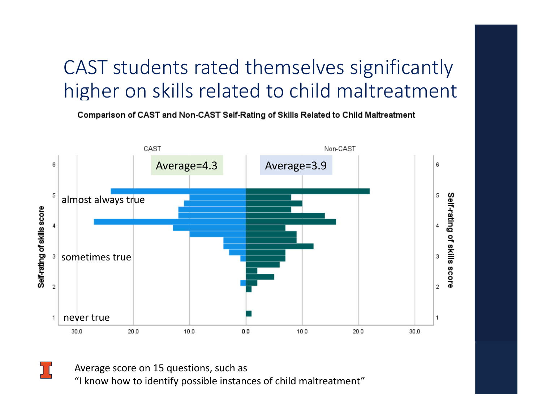### CAST students rated themselves significantly higher on skills related to child maltreatment

Comparison of CAST and Non-CAST Self-Rating of Skills Related to Child Maltreatment



Average score on 15 questions, such as "I know how to identify possible instances of child maltreatment"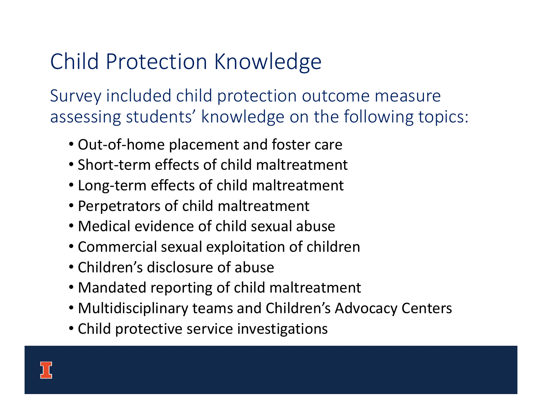## Child Protection Knowledge

Survey included child protection outcome measure assessing students' knowledge on the following topics:

- Out‐of‐home placement and foster care
- Short‐term effects of child maltreatment
- Long‐term effects of child maltreatment
- Perpetrators of child maltreatment
- Medical evidence of child sexual abuse
- Commercial sexual exploitation of children
- Children's disclosure of abuse
- Mandated reporting of child maltreatment
- Multidisciplinary teams and Children's Advocacy Centers
- Child protective service investigations

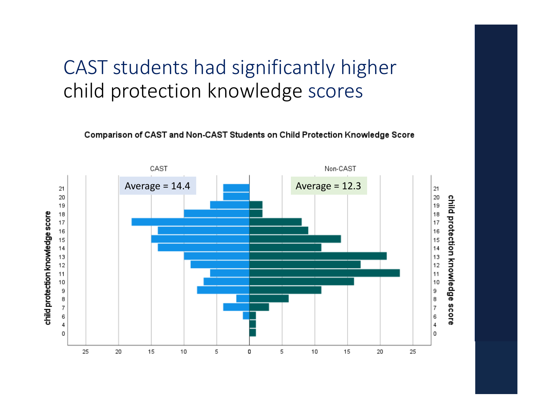### CAST students had significantly higher child protection knowledge scores

Comparison of CAST and Non-CAST Students on Child Protection Knowledge Score

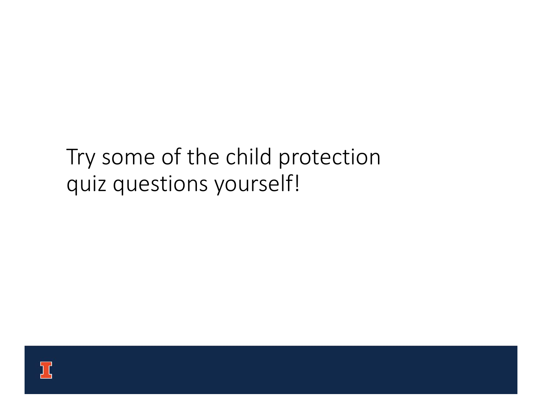### Try some of the child protection quiz questions yourself!

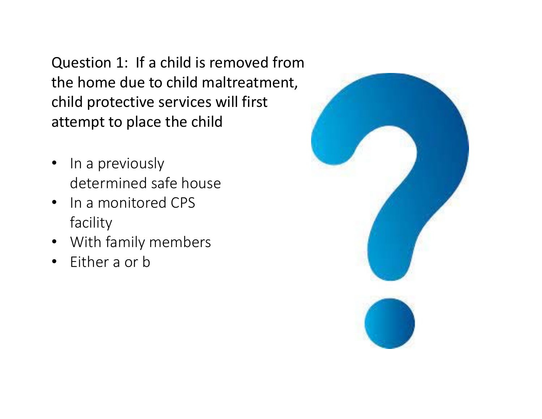Question 1: If a child is removed from the home due to child maltreatment, child protective services will first attempt to place the child

- •In a previously determined safe house
- In a monitored CPS facility
- With family members
- $\bullet$ Either a or b

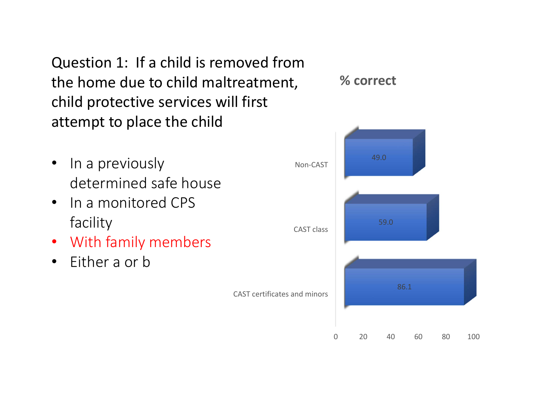Question 1: If a child is removed from the home due to child maltreatment, child protective services will first attempt to place the child

- •In a previously determined safe house
- In a monitored CPS facility
- With family members
- Either a or b



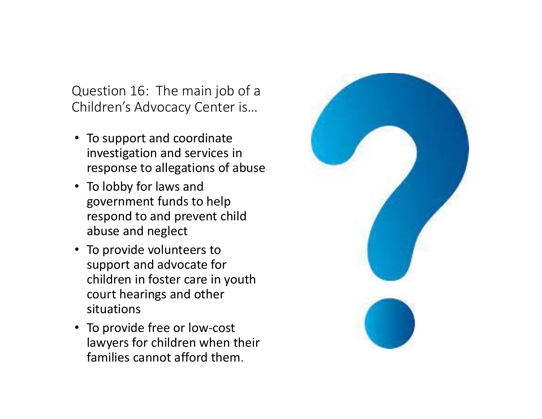Question 16: The main job of a Children's Advocacy Center is…

- To support and coordinate investigation and services in response to allegations of abuse
- To lobby for laws and government funds to help respond to and prevent child abuse and neglect
- To provide volunteers to support and advocate for children in foster care in youth court hearings and other situations
- To provide free or low-cost lawyers for children when their families cannot afford them.

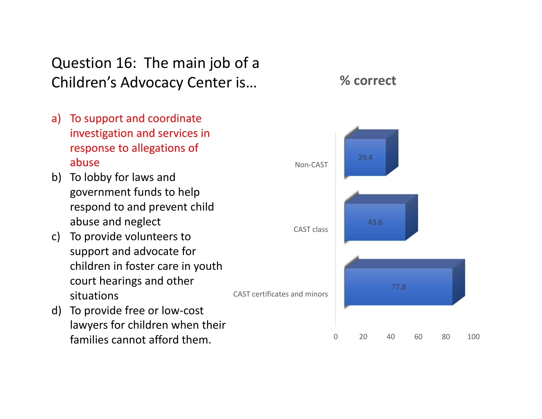#### Question 16: The main job of a Children's Advocacy Center is…

**% correct**



CAST certificates and minors

d) To provide free or low‐cost lawyers for children when their families cannot afford them.

situations

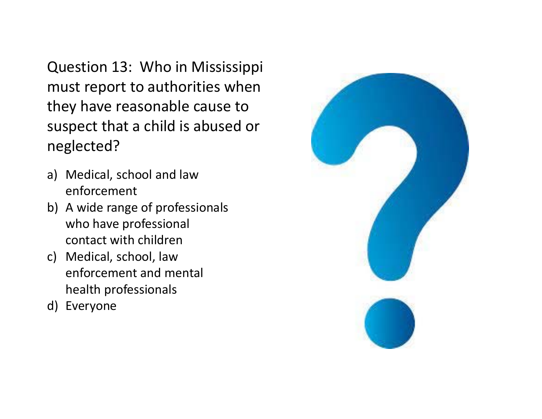Question 13: Who in Mississippi must report to authorities when they have reasonable cause to suspect that a child is abused or neglected?

- a) Medical, school and law enforcement
- b) A wide range of professionals who have professional contact with children
- c) Medical, school, law enforcement and mental health professionals
- d) Everyone

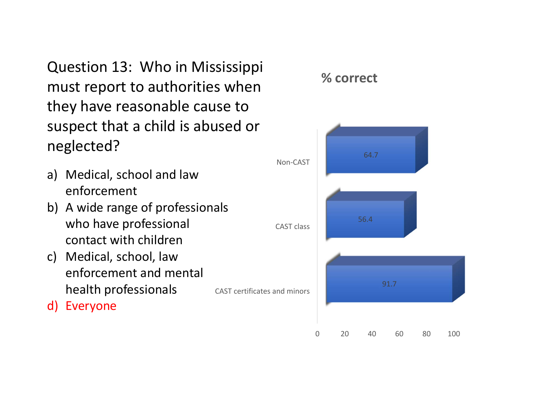Question 13: Who in Mississippi must report to authorities when they have reasonable cause to suspect that a child is abused or neglected?

- a) Medical, school and law enforcement
- b) A wide range of professionals who have professional contact with children
- c) Medical, school, law enforcement and mental health professionals
- d) Everyone



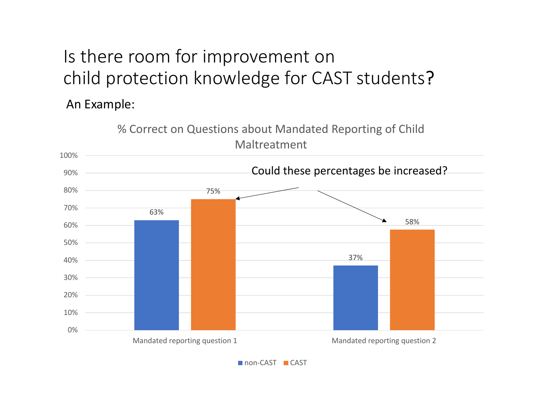## Is there room for improvement on child protection knowledge for CAST students?

An Example:



non-CAST ■ CAST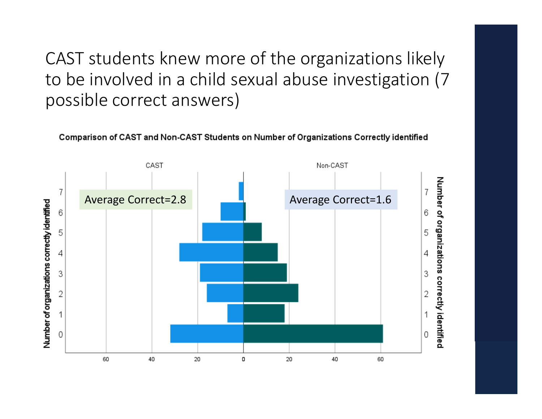CAST students knew more of the organizations likely to be involved in a child sexual abuse investigation (7 possible correct answers)

Comparison of CAST and Non-CAST Students on Number of Organizations Correctly identified

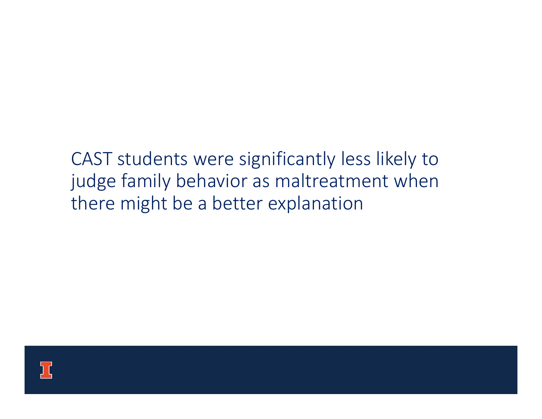### CAST students were significantly less likely to judge family behavior as maltreatment when there might be a better explanation

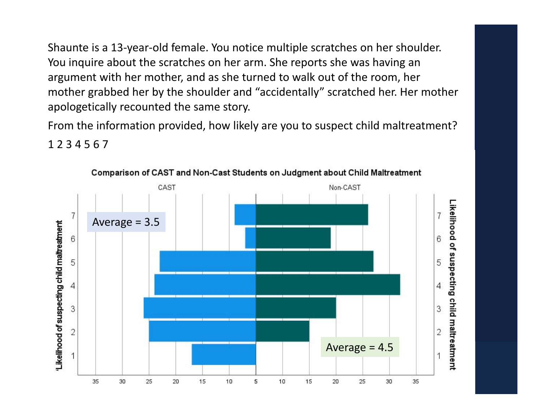Shaunte is a 13‐year‐old female. You notice multiple scratches on her shoulder. You inquire about the scratches on her arm. She reports she was having an argument with her mother, and as she turned to walk out of the room, her mother grabbed her by the shoulder and "accidentally" scratched her. Her mother apologetically recounted the same story.

From the information provided, how likely are you to suspect child maltreatment?

1 2 3 4 5 6 7

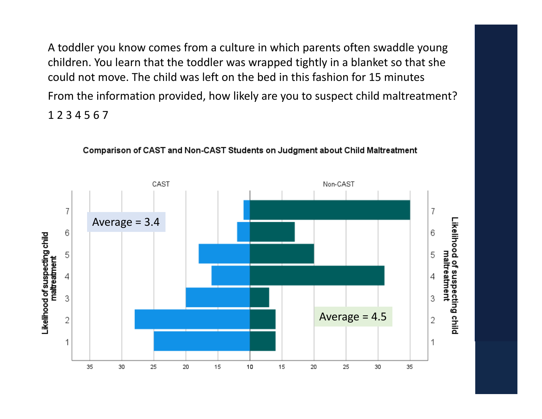A toddler you know comes from a culture in which parents often swaddle young children. You learn that the toddler was wrapped tightly in a blanket so that she could not move. The child was left on the bed in this fashion for 15 minutesFrom the information provided, how likely are you to suspect child maltreatment? 1 2 3 4 5 6 7



Comparison of CAST and Non-CAST Students on Judgment about Child Maltreatment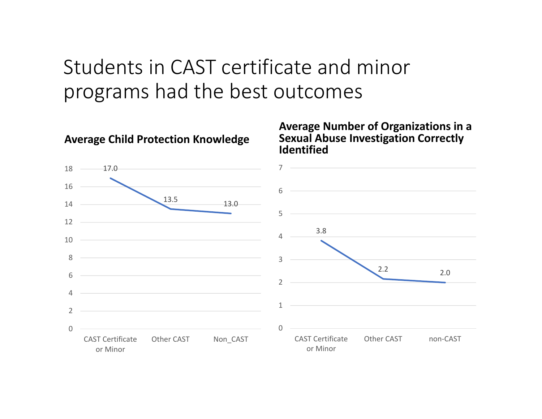### Students in CAST certificate and minor programs had the best outcomes



#### **Average Child Protection Knowledge**

#### **Average Number of Organizations in a Sexual Abuse Investigation Correctly**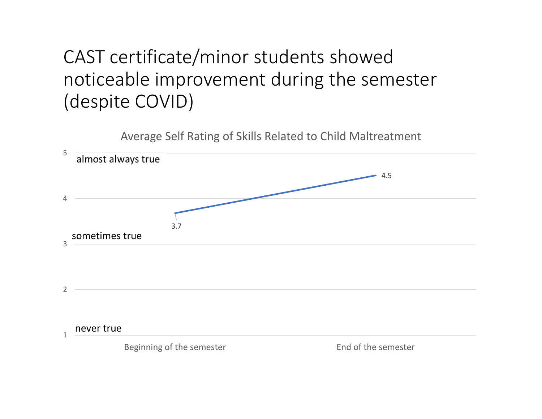### CAST certificate/minor students showed noticeable improvement during the semester (despite COVID)

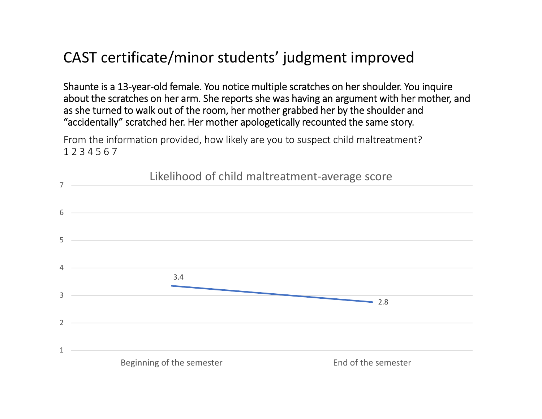#### CAST certificate/minor students' judgment improved

Shaunte is a 13‐year‐old female. You notice multiple scratches on her shoulder. You inquire about the scratches on her arm. She reports she was having an argument with her mother, and as she turned to walk out of the room, her mother grabbed her by the shoulder and "accidentally" scratched her. Her mother apologetically recounted the same story.

From the information provided, how likely are you to suspect child maltreatment? 1 2 3 4 5 6 7

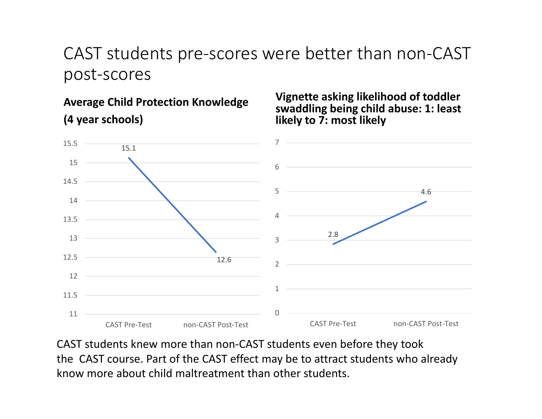#### CAST students pre‐scores were better than non‐CAST post‐scores

**Average Child Protection Knowledge (4 year schools)**

**Vignette asking likelihood of toddler swaddling being child abuse: 1: least likely to 7: most likely**



CAST students knew more than non‐CAST students even before they took the CAST course. Part of the CAST effect may be to attract students who already know more about child maltreatment than other students.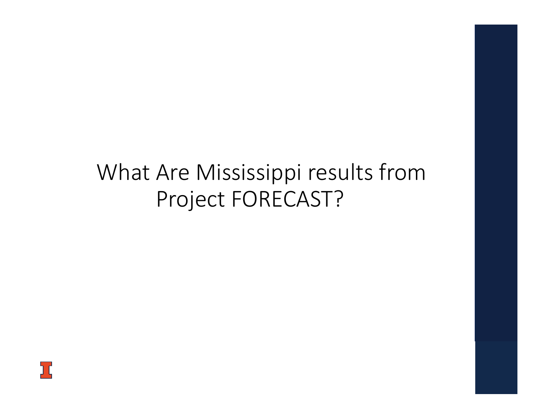### What Are Mississippi results from Project FORECAST?

ב'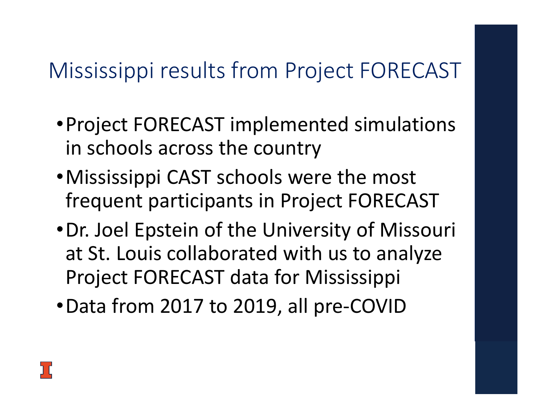## Mississippi results from Project FORECAST

- •Project FORECAST implemented simulations in schools across the country
- •Mississippi CAST schools were the most frequent participants in Project FORECAST
- •Dr. Joel Epstein of the University of Missouri at St. Louis collaborated with us to analyze Project FORECAST data for Mississippi
- •Data from 2017 to 2019, all pre‐COVID

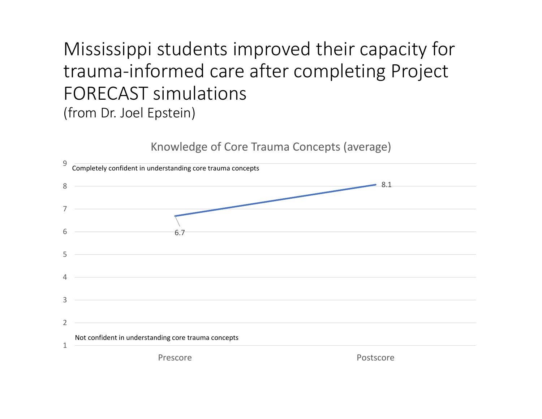### Mississippi students improved their capacity for trauma‐informed care after completing Project FORECAST simulations(from Dr. Joel Epstein)

Knowledge of Core Trauma Concepts (average)

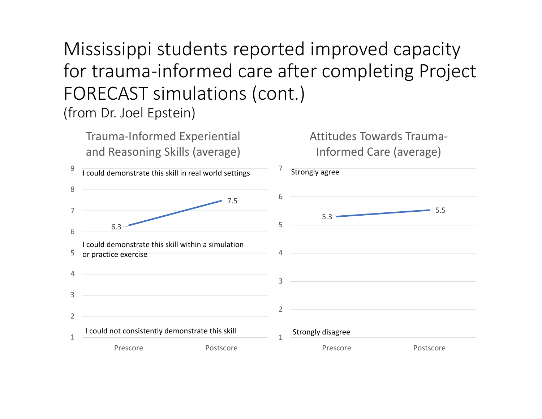Mississippi students reported improved capacity for trauma‐informed care after completing Project FORECAST simulations (cont.) (from Dr. Joel Epstein)

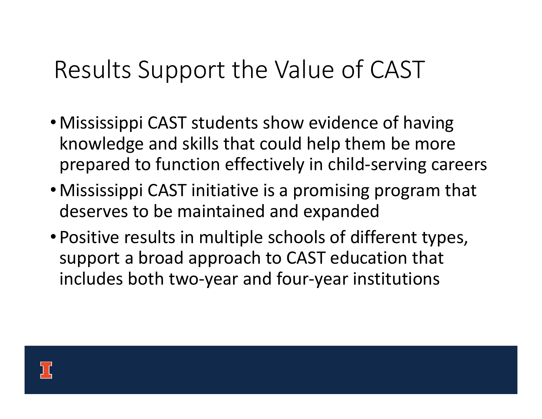# Results Support the Value of CAST

- Mississippi CAST students show evidence of having knowledge and skills that could help them be more prepared to function effectively in child‐serving careers
- •Mississippi CAST initiative is a promising program that deserves to be maintained and expanded
- Positive results in multiple schools of different types, support a broad approach to CAST education that includes both two‐year and four‐year institutions